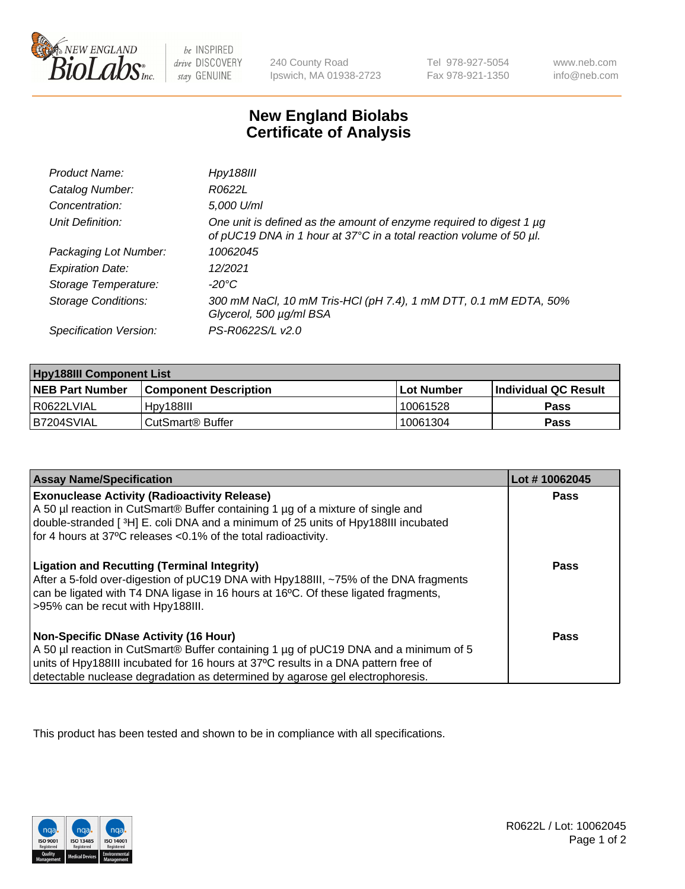

 $be$  INSPIRED drive DISCOVERY stay GENUINE

240 County Road Ipswich, MA 01938-2723 Tel 978-927-5054 Fax 978-921-1350 www.neb.com info@neb.com

## **New England Biolabs Certificate of Analysis**

| Product Name:              | <b>Hpy188III</b>                                                                                                                           |
|----------------------------|--------------------------------------------------------------------------------------------------------------------------------------------|
| Catalog Number:            | R0622L                                                                                                                                     |
| Concentration:             | 5,000 U/ml                                                                                                                                 |
| Unit Definition:           | One unit is defined as the amount of enzyme required to digest 1 µg<br>of pUC19 DNA in 1 hour at 37°C in a total reaction volume of 50 µl. |
| Packaging Lot Number:      | 10062045                                                                                                                                   |
| <b>Expiration Date:</b>    | 12/2021                                                                                                                                    |
| Storage Temperature:       | -20°C                                                                                                                                      |
| <b>Storage Conditions:</b> | 300 mM NaCl, 10 mM Tris-HCl (pH 7.4), 1 mM DTT, 0.1 mM EDTA, 50%<br>Glycerol, 500 µg/ml BSA                                                |
| Specification Version:     | PS-R0622S/L v2.0                                                                                                                           |

| <b>Hpy188III Component List</b> |                         |              |                             |  |
|---------------------------------|-------------------------|--------------|-----------------------------|--|
| <b>NEB Part Number</b>          | l Component Description | l Lot Number | <b>Individual QC Result</b> |  |
| I R0622LVIAL                    | Hpy188III               | 10061528     | Pass                        |  |
| B7204SVIAL                      | l CutSmart® Buffer      | 10061304     | Pass                        |  |

| <b>Assay Name/Specification</b>                                                                                                                                                                                                                                                                             | Lot #10062045 |
|-------------------------------------------------------------------------------------------------------------------------------------------------------------------------------------------------------------------------------------------------------------------------------------------------------------|---------------|
| <b>Exonuclease Activity (Radioactivity Release)</b><br>A 50 µl reaction in CutSmart® Buffer containing 1 µg of a mixture of single and<br>double-stranded [3H] E. coli DNA and a minimum of 25 units of Hpy188III incubated<br>for 4 hours at 37°C releases <0.1% of the total radioactivity.               | Pass          |
| <b>Ligation and Recutting (Terminal Integrity)</b><br>After a 5-fold over-digestion of pUC19 DNA with Hpy188III, ~75% of the DNA fragments<br>can be ligated with T4 DNA ligase in 16 hours at 16°C. Of these ligated fragments,<br>>95% can be recut with Hpy188III.                                       | Pass          |
| <b>Non-Specific DNase Activity (16 Hour)</b><br>A 50 µl reaction in CutSmart® Buffer containing 1 µg of pUC19 DNA and a minimum of 5<br>units of Hpy188III incubated for 16 hours at 37°C results in a DNA pattern free of<br>detectable nuclease degradation as determined by agarose gel electrophoresis. | <b>Pass</b>   |

This product has been tested and shown to be in compliance with all specifications.